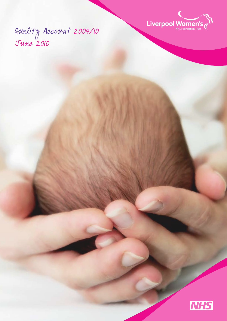

Quality Account 2009/10 June 2010

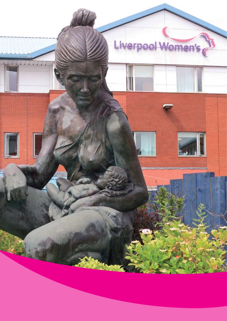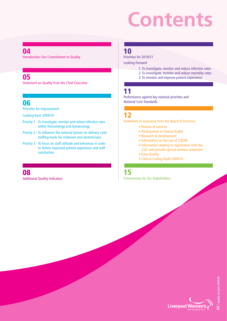# **Contents**

## 04

Introduction: Our Commitment to Quality

## 05

Statement on Quality from the Chief Executive

## 06

Priorities for Improvement

Looking Back 2009/10

- Priority 1 To investigate, monitor and reduce infection rates within Neonatology and Gynaecology
- Priority 2 To influence the national picture on delivery suite staffing levels for midwives and obstetricians
- Priority 3 To focus on staff attitude and behaviour in order to deliver improved patient experience and staff satisfaction

## 08 Additional Quality Indicators

## 10

Priorities for 2010/11 Looking Forward

- 1. To investigate, monitor and reduce infection rates
- 2. To investigate, monitor and reduce mortality rates
- 3. To monitor and improve patient experience

## 11

Performance against key national priorities and National Core Standards

# 12

Statement of assurance from the Board of Directors

- Review of services
- Participation in Clinical Audits
- Research & Development
- Information on the use of COUIN
- Information relating to registration with the CQC and periodic special reviews statement
- Data Quality
- Clinical Coding Audit 2009/10

## 15

Commentary by Our Stakeholders



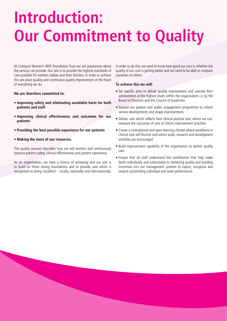# **Introduction: Our Commitment to Quality**

At Liverpool Women's NHS Foundation Trust we are passionate about the services we provide. Our aim is to provide the highest standards of care possible for women, babies and their families. In order to achieve this we place quality and continuous quality improvement at the heart of everything we do.

**We are therefore committed to:** 

- **Improving safety and eliminating avoidable harm for both patients and staff**
- **Improving clinical effectiveness and outcomes for our patients**
- **Providing the best possible experience for our patients**
- **Making the most of our resources.**

This quality account describes how we will monitor and continuously improve patient safety, clinical effectiveness and patient experience.

As an organisation, we have a history of achieving and our aim is to build on these strong foundations and to provide care which is recognised as being 'excellent' - locally, nationally and internationally. In order to do this, we need to know how good our care is, whether the quality of our care is getting better and we need to be able to compare ourselves to others.

#### **To achieve this we will:**

- Set specific aims to deliver quality improvement and oversee their achievement at the highest levels within the organisation i.e. by the Board of Directors and the Council of Governors
- Expand our patient and public engagement programme to inform service developments and shape improvements
- Deliver care which reflects best clinical practice and, where we can, measure the outcomes of care to inform improvement activities
- Create a motivational and open learning climate where excellence in clinical care will flourish and where audit, research and development activities are encouraged
- Build improvement capability of the organisation to deliver quality care
- Ensure that all staff understand the contribution that they make (both individually and collectively) to delivering quality and building incentives into our management systems to expect, recognise and reward outstanding individual and team performance.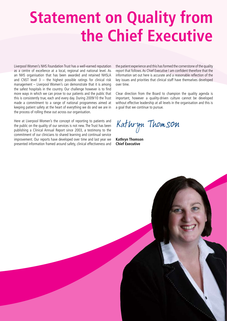# **Statement on Quality from the Chief Executive**

Liverpool Women's NHS Foundation Trust has a well-earned reputation as a centre of excellence at a local, regional and national level. As an NHS organisation that has been awarded and retained NHSLA and CNST level  $3$  – the highest possible ratings for clinical risk management – Liverpool Women's can demonstrate that it is among the safest hospitals in the country. Our challenge however is to find more ways in which we can prove to our patients and the public that this is consistently true, each and every day. During 2009/10 the Trust made a commitment to a range of national programmes aimed at keeping patient safety at the heart of everything we do and we are in the process of rolling these out across our organisation.

Here at Liverpool Women's the concept of reporting to patients and the public on the quality of our services is not new. The Trust has been publishing a Clinical Annual Report since 2003, a testimony to the commitment of our clinicians to shared learning and continual service improvement. Our reports have developed over time and last year we presented information framed around safety, clinical effectiveness and

the patient experience and this has formed the cornerstone of the quality report that follows. As Chief Executive I am confident therefore that the information set out here is accurate and a reasonable reflection of the key issues and priorities that clinical staff have themselves developed over time.

Clear direction from the Board to champion the quality agenda is important, however a quality-driven culture cannot be developed without effective leadership at all levels in the organisation and this is a goal that we continue to pursue.

<sup>K</sup>athryn Thomson

**Kathryn Thomson Chief Executive**

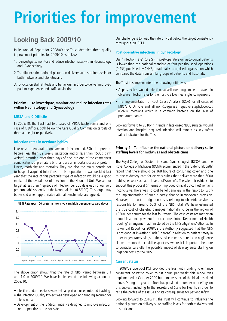# **Priorities for improvement**

## **Looking Back 2009/10**

In its Annual Report for 2008/09 the Trust identified three quality improvement priorities for 2009/10 as follows:

- 1. To investigate, monitor and reduce infection rates within Neonatology and Gynaecology
- 2. To influence the national picture on delivery suite staffing levels for both midwives and obstetricians
- 3. To focus on staff attitude and behaviour in order to deliver improved patient experience and staff satisfaction.

### **Priority 1 - to investigate, monitor and reduce infection rates within Neonatology and Gynaecology**

## **MRSA and C Difficile**

In 2009/10, the Trust had two cases of MRSA bacteraemia and one case of C Difficile, both below the Care Quality Commission targets of three and eight respectively.

## **Infection rates in newborn babies**

Late-onset neonatal bloodstream infections (NBSI) in preterm babies (less than 32 weeks gestation and/or less than 1500g birth weight) occurring after three days of age, are one of the commonest complications of premature birth and are an important cause of preterm illness, morbidity and mortality. They are also the major contributor to hospital-acquired infections in this population. It was decided last year that the rate of this particular type of infection would be a good marker of the overall risk of infection on the Neonatal Unit. We set our target at less than 1 episode of infection per 200 days each of our very preterm babies spends on the Neonatal Unit (0.5/100). This target may be revised when appropriate national benchmarks are agreed.



The above graph shows that the rate of NBSI varied between 0.1 and 1.0 in 2009/10. We have implemented the following actions in 2009/10:

- Infection update sessions were held as part of nurse protected teaching
- The Infection Quality Project was developed and funding secured for a lead nurse
- Development of the '3 Steps' initiative designed to improve infection control practice at the cot-side.

Our challenge is to keep the rate of NBSI below the target consistently throughout 2010/11.

### **Post-operative infections in gynaecology**

Our "infection rate" (0.2%) in post-operative gynaecological patients is lower than the national standard of four per thousand operations (0.4%) published by CHKS, a nationally recognised organisation which compares the data from similar groups of patients and hospitals.

The Trust has implemented the following initiatives:

- A prospective wound infection surveillance programme to ascertain objective infection rates for the Trust to allow meaningful comparisons.
- The implementation of Root Cause Analysis (RCA) for all cases of MRSA, C Difficile and all non-Coagulase negative staphylococcus (CoNs) infections which is a common bacteria on the skin of premature babies.

Looking forward to 2010/11, trends in late onset NBSI, surgical wound infection and hospital acquired infection will remain as key safety quality indicators for the Trust.

### **Priority 2 – To influence the national picture on delivery suite staffing levels for midwives and obstetricians**

The Royal College of Obstetricians and Gynaecologists (RCOG) and the Royal College of Midwives (RCM) recommended in the 'Safer Childbirth' report that there should be 168 hours of consultant cover and one to one midwifery care for delivery suites that deliver more than 6000 babies per year such as at Liverpool Women's. The scientific evidence to support this proposal (in terms of improved clinical outcomes) remains inconclusive. There was no cost benefit analysis in the report to justify the implementation of such a costly change in workforce provision. However, the cost of litigation cases relating to obstetric services is responsible for around 60% of the NHS total. We have estimated the true cost of obstetric damages nationally to be in the region of £850m per annum for the last four years. The cash costs are met by an annual insurance payment from each trust into a Department of Health 'pooling' arrangement administered by the NHS Litigation Authority. In its Annual Report for 2008/09 the Authority suggested that the NHS is not good at investing funds 'up front' in relation to patient safety in order to generate savings to the service in terms of reduced negligence claims – money that could be spent elsewhere. It is important therefore to consider carefully the possible impact of delivery suite staffing on litigation costs to the NHS.

#### **Current status**

In 2008/09 Liverpool PCT provided the Trust with funding to enhance consultant obstetric cover to 98 hours per week; this model was implemented in October 2009 but remains short of the ideal described above. During the year the Trust has provided a number of briefings on this subject, including to the Secretary of State for Health, in order to raise the profile of the issue and its consequences for patient safety.

Looking forward to 2010/11, the Trust will continue to Influence the national picture on delivery suite staffing levels for both midwives and obstetricians.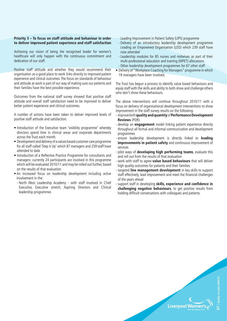#### **Priority 3 – To focus on staff attitude and behaviour in order to deliver improved patient experience and staff satisfaction**

Achieving our vision of being the recognised leader for women's healthcare will only happen with the continuous commitment and dedication of our staff.

Positive staff attitude and whether they would recommend their organisation as a good place to work links directly to improved patient experience and clinical outcomes. The focus on standards of behaviour and attitude at work is part of our way of making sure our patients and their families have the best possible experience.

Outcomes from the national staff survey showed that positive staff attitude and overall staff satisfaction need to be improved to deliver better patient experience and clinical outcomes.

A number of actions have been taken to deliver improved levels of positive staff attitude and satisfaction:

- Introduction of the Executive team 'visibility programme' whereby directors spend time in clinical areas and corporate departments across the Trust each month
- Development and delivery of a values based customer care programme for all staff called 'Step it Up' which 87 managers and 259 staff have attended to date
- Introduction of a Reflective Practice Programme for consultants and managers: currently 24 participants are involved in this programme which will be evaluated 2010/11 and may be rolled out further, based on the results of that evaluation
- An increased focus on leadership development including active involvement in the:
- North West Leadership Academy with staff involved in Chief Executive, Executive stretch, Aspiring Directors and Clinical leadership programmes
- Leading Improvement in Patient Safety (LIPS) programme
- Delivery of an introductory leadership development programme Leading an Empowered Organisation (LEO) which 239 staff have now attended
- Leadership modules for 85 nurses and midwives as part of their multi-professional education and training (MPET) allocations
- Other leadership development programmes for 67 other staff
- Delivery of "Workplace Coaching for Managers" programme in which 19 managers have been involved.

The Trust has begun a process to identify value based behaviours and equip staff with the skills and ability to both show and challenge others who don't show these behaviours.

The above interventions will continue throughout 2010/11 with a focus on delivery of organisational development interventions to show improvement in the staff survey results on the following:

- improve both **quality and quantity** of **Performance Development Reviews** (PDR)
- develop an **engagement** model linking patient experience directly throughout all formal and informal communication and development programmes
- ensure leadership development is directly linked to **leading improvements in patient safety** and continuous improvement of services
- pilot ways of **developing high performing teams**, evaluate this and roll out from the results of that evaluation
- work with staff to agree **value based behaviours** that will deliver high quality outcomes for patients and their families
- targeted **line management development** in key skills to support staff effectively, lead improvement and meet the financial challenges of the years ahead
- support staff in developing **skills, experience and confidence in challenging negative behaviours**, to get positive results from holding difficult conversations with colleagues and patients.



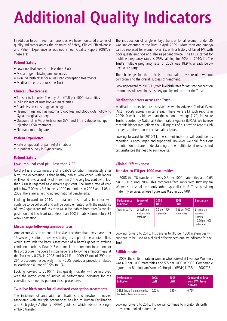# **Additional Quality Indicators**

In addition to our three main priorities, we have monitored a series of quality indicators across the domains of Safety, Clinical Effectiveness and Patient Experience as outlined in our Quality Report 2008/09. These are:

## **Patient Safety**

- Low umbilical cord pH less than 7.00
- Miscarriage following amniocentesis
- Twin live birth rates for all assisted conception treatments
- Medication errors across the Trust

## **Clinical Effectiveness**

- Transfer to Intensive Therapy Unit (ITU) per 1000 maternities
- Stillbirth rate of Trust booked maternities
- Readmission rates to gynaecology
- Haemorrhage and haematoma (blood loss and blood clots) following Gynaecological surgery
- Outcome of In Vitro Fertilisation (IVF) and Intra Cytoplasmic Sperm Injection (ICSI) treatment
- Neonatal mortality rate

## **Patient Experience**

- Rate of epidural for pain relief in labour
- In-patient Survey in Gynaecology

## **Patient Safety**

## **Low umbilical cord pH – less than 7.00**

Cord pH is a proxy measure of a baby's condition immediately after birth; the expectation is that healthy babies who coped with labour well would have a cord pH of more than 7.2. A very low cord pH of less than 7.00 is regarded as clinically significant. The Trust's rate of cord pH below 7.00 was 3.8 in every 1000 maternities in 2008 and 4.05 in 2009. There are as yet no agreed national benchmarks.

Looking forward to 2010/11, data on this quality indicator will continue to be collected and will be complemented with the incidence of low Apgar scores (of less than 4), in live babies born after 34 weeks gestation and low heart rate (less than 100) in babies born before 34 weeks gestation.

## **Miscarriage following amniocentesis**

Amniocentesis is an antenatal invasive procedure that takes place after 15 weeks gestation. It involves taking a sample of the amniotic fluid which surrounds the baby. Assessment of a baby's genes to exclude conditions such as Down's Syndrome is the common indication for this procedure. The overall miscarriage rate following amniocentesis at the Trust was 0.7% in 2008 and 0.77% in 2009 (2 out of 299 and 261 procedures respectively). The RCOG quotes a procedure related miscarriage risk rate of 0.5% to 1%.

Looking forward to 2010/11, this quality indicator will be improved with the introduction of individual performance indicators for the consultants trained to perform these procedures.

## **Twin live birth rates for all assisted conception treatments**

The incidence of antenatal complications and newborn illnesses associated with multiple pregnancies has led to Human Fertilisation and Embryology Authority (HFEA) guidance which advocates single embryo transfer.

The introduction of single embryo transfer for all women under 35 was implemented at the Trust in April 2009. More than one embryo can be replaced for women over 35, with a history of failed IVF, with poor quality embryos and also as patient choice. The HFEA target for multiple pregnancy rates is 25%, aiming for 20% in 2010/11. The Trust's multiple pregnancy rate for 2009 was 18.9%, already below next year's target.

The challenge for the Unit is to maintain these results without compromising the overall success of treatment.

Looking forward to 2010/11, twin live birth rates for assisted conception treatments will remain as a safety quality indicator for the Trust.

## **Medication errors across the Trust**

Medication errors feature consistently within Adverse Clinical Event (ACE) reports across clinical areas. There were 213 such reports in 2009/10 which is higher than the national average (170) for Acute Trusts reported by National Patient Safety Agency (NPSA). We believe that this higher rate reflects the willingness of our staff to report such incidents, rather than particular safety issues.

Looking forward for 2010/11, the current indicator will continue, as reporting is encouraged and supported. However, we shall focus our attention on a clearer understanding of the multifactorial reasons and circumstances that lead to such events.

## **Clinical Effectiveness**

## **Transfer to ITU per 1000 maternities**

In 2008 the ITU transfer rate was 0.5 per 1000 maternities and 0.63 per 1000 during 2009. This compares favourably with Birmingham Women's Hospital, the only other specialist NHS Trust providing maternity services, whose figure was 0.96 in 2007/08.

| <b>Performance</b> | Source of                                 | 2008                        | 2009                         | <b>Benchmark</b>                                                     |
|--------------------|-------------------------------------------|-----------------------------|------------------------------|----------------------------------------------------------------------|
| <b>Indicator</b>   | <b>Data</b>                               | LWH.                        | <b>LWH</b>                   |                                                                      |
| Transfer to ITU    | Critical care<br>lead midwife<br>database | 0.5 per 1000<br>maternities | 0.63 per 1000<br>maternities | Birmingham<br>Women's<br>Hospital<br>$-0.96$ per 1000<br>maternities |

Looking forward to 2010/11, transfer to ITU per 1000 maternities will continue to be used as a clinical effectiveness quality indicator for the Trust.

## **Stillbirth rate**

In 2008, the stillbirth rate in women who booked at Liverpool Women's was 6.2 per 1000 maternities and 5.5 per 1000 in 2009. Comparable figure from Birmingham Women's Hospital (BWH) is 7.5 for 2007/08.

| Performance<br><b>Indicator</b>                                 | 2008<br><b>LWH</b> | 2009<br><b>LWH</b> | Comparable data<br>from BWH from<br>2007/08 |
|-----------------------------------------------------------------|--------------------|--------------------|---------------------------------------------|
| Stillbirth rate from maternities<br>booked at Liverpool Women's | 0.62%              | 0.55%              | 0.75%                                       |

Looking forward to 2010/11, we will continue to monitor stillbirth rates from booked maternities.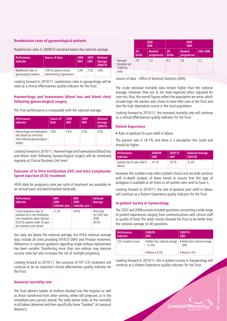## **Readmission rates of gynaecological patients**

Readmission rates in 2009/10 remained below the national average.

| Performance<br>Indicator                        | <b>Source of Data</b>                                   | 2008<br><b>LWH</b> | 2009<br><b>LWH</b> | <b>National</b><br>Average<br>2009/10 |
|-------------------------------------------------|---------------------------------------------------------|--------------------|--------------------|---------------------------------------|
| Readmission rates of<br>gynaecological patients | CHKS (a national clinical<br>benchmarking organisation) | 2.9%               | 2.5%               | 5.8%                                  |

Looking forward to 2010/11, readmission rates to gynaecology will be used as a clinical effectiveness quality indicator for the Trust.

## **Haemorrhage and haematoma (blood loss and blood clots) following gynaecological surgery**

The Trust performance is comparable with the national average.

| <b>Performance</b><br><b>Indicator</b>                                                                | Source of<br><b>Data</b> | 2008<br><b>LWH</b> | 2009<br><b>LWH</b> | <b>National</b><br>Average<br>2009/10 |
|-------------------------------------------------------------------------------------------------------|--------------------------|--------------------|--------------------|---------------------------------------|
| Haemorrhage and Haematoma<br>rate (blood loss and blood<br>clots) following gynaecological<br>surgery | <b>CHKS</b>              | 0.6%               | 0.5%               | 0.5%                                  |

Looking forward to 2010/11, Haemorrhage and haematoma (blood loss and blood clots) following Gynaecological surgery will be monitored regularly at Clinical Business Unit level.

## **Outcome of In Vitro Fertilisation (IVF) and Intra Cytoplasmic Sperm Injection (ICSI) treatment**

HFEA data for pregnancy rates per cycle of treatment are available on an annual basis and benchmarked nationally.

| Performance<br>Indicator                                                                                                                                                       | <b>LWH</b><br>2008<br><b>Calendar year</b> | <b>LWH</b><br>2009<br><b>Calendar year</b> | <b>National</b><br>Average                  |
|--------------------------------------------------------------------------------------------------------------------------------------------------------------------------------|--------------------------------------------|--------------------------------------------|---------------------------------------------|
| Clinical pregnancy rates for<br>treatment by in vitro fertilisation,<br>intra cytoplasmic sperm injection<br>(ICSI) for patients under 35 years<br>per treatment cycle started | 31.3%                                      | 28.9%                                      | HFEA data<br>Oct 2007-Sept<br>2008<br>36.0% |

Our data are below the national average, but HFEA national average data include all units providing IVF/ICSI (NHS and Private) treatment. Adherence to national guidance regarding single embryo replacement has been variable. Transferring more than one embryo may improve success rates but also increases the risk of multiple pregnancy.

Looking forward to 2010/11, the outcome of IVF/ ICSI treatment will continue to be an important clinical effectiveness quality indicator for the Trust.

## **Neonatal mortality rate**

The Trust delivers babies of mothers booked into the hospital as well as those transferred from other centres, either still pregnant, or in the immediate post partum period. The table below looks at the mortality in all babies delivered and then specifically those "booked" at Liverpool Women's.

|                                          | 2008<br><b>LWH</b> |                              | 2009<br><b>LWH</b>   |                              |                 |
|------------------------------------------|--------------------|------------------------------|----------------------|------------------------------|-----------------|
|                                          | All<br>births      | <b>Booked</b><br>pregnancies | All<br><b>births</b> | <b>Booked</b><br>pregnancies | <b>ONS 2008</b> |
| Neonatal<br>Mortality rate<br>/1000 live | 7.8                | 5.3                          | 6.3                  | 3.8                          | 3.2             |
| births                                   |                    |                              |                      |                              |                 |

Source of data - Office of National Statistics (ONS)

The crude neonatal mortality data remain higher than the national average. However, they are at the level expected when adjusted for case mix. Also, the overall figures reflect the population we serve, which include high risk women who chose to have their care at the Trust and also the high deprivation scores in the local population.

Looking forward to 2010/11, the neonatal mortality rate will continue as a clinical effectiveness quality indicator for the Trust.

## **Patient Experience**

• Rate of epidural for pain relief in labour

The present rate is 18.7% and there is a perception this could and should be higher.

| Performance                                 | 2008/09    | 2009/10    | National Average |
|---------------------------------------------|------------|------------|------------------|
| Indicator                                   | <b>LWH</b> | <b>LWH</b> | 2007/08          |
| Epidural rate for pain relief in<br>labours | 16.1%      | 18.7%      | 22.2%            |

However, the numbers may reflect patient choice and we shall continue with in-depth analysis of these trends to ensure that this type of analgesia is available at all times to all women who wish to have it.

Looking forward to 2010/11, the rate of epidural pain relief in labour will continue as a Patient Experience quality indicator for the Trust.

## **In-patient Survey in Gynaecology**

The 2007 and 2008 surveys included questions concerning a wide range of patient experiences ranging from communications with clinical staff to quality of food. The latest results showed the Trust to be better than the national average on 40 questions.

| Performance<br>Indicator | 2008/09<br><b>LWH</b>                    | 2009/10<br><b>LWH</b> |
|--------------------------|------------------------------------------|-----------------------|
| CQC In patient survey    | • Better than national average<br>in 70% |                       |
|                          | $\bullet$ Worse in 8.5%                  | • Worse in 5%         |

Looking forward to 2010/11, the in-patient survey in Gynaecology will continue as a Patient Experience quality indicator for the Trust.

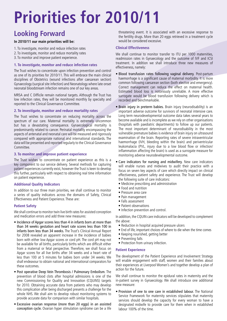# **Priorities for 2010/11**

## **Looking Forward**

## **In 2010/11 our main priorities will be:**

- 1. To investigate, monitor and reduce infection rates
- 2. To investigate, monitor and reduce mortality rates
- 3. To monitor and improve patient experience.

## **1. To investigate, monitor and reduce infection rates**

The Trust wishes to concentrate upon infection prevention and control as one of its priorities for 2010/11. This will embrace the main clinical disciplines of Obstetrics (wound infections after caesarean section) Gynaecology (surgical site infection) and Neonatology where late onset neonatal bloodstream infection remains one of our key areas.

MRSA and C Difficile remain national targets. Although the Trust has low infection rates, they will be monitored monthly by specialty and reported to the Clinical Governance Committee.

## **2. To investigate, monitor and reduce mortality rates**

The Trust wishes to concentrate on reducing mortality across the spectrum of our care. Maternal mortality is extremely uncommon but has a devastating consequence. Gynaecological mortality is predominantly related to cancer. Perinatal mortality encompassing the aspects of antenatal and neonatal care will be measured and rigorously compared with appropriate national and international standards. The data will be presented and reported regularly to the Clinical Governance Committee.

## **3. To monitor and improve patient experience**

The Trust wishes to concentrate on patient experience as this is a key component to our service delivery. Several methods for capturing patient experiences currently exist, however the Trust is keen to develop this further, particularly with respect to obtaining real time information on patient experience.

## **Additional Quality Indicators**

In addition to our three main priorities, we shall continue to monitor a series of quality indicators across the domains of Safety, Clinical Effectiveness and Patient Experience. These are:

## **Patient Safety**

We shall continue to monitor twin live birth rates for assisted conception and medication errors and add three new measures:

- Incidence of Apgar scores less than 4 in infants born at more than than 34 weeks gestation and heart rate scores less than 100 in infants born less than 34 weeks. The Trust's Clinical Annual Report for 2008 revealed an apparent increase in the incidence of babies born with either low Apgar scores or cord pH. The cord pH may not be available for all births, particularly births which are difficult either from a maternal or fetal perspective. Therefore, we shall focus on Apgar scores for all live births after 34 weeks and a heart rate of less than 100 at 5 minutes for babies born under 34 weeks. We shall endeavour to obtain national and international comparators for these outcomes.
- Post operative Deep Vein Thrombosis / Pulmonary Embolism. The prevention of blood clots after hospital admissions is one of the new Commissioning for Quality and Innovation (CQUINS) targets for 2010. Obtaining accurate data from patients who may develop this complication after being discharged presents a challenge for the whole NHS. We shall aim to develop robust monitoring systems to provide accurate data for comparison with similar hospitals.
- Excessive ovarian response (more than 20 eggs) in an assisted conception cycle. Ovarian hyper stimulation syndrome can be a life

threatening event. It is associated with an excessive response to the fertility drugs. More than 20 eggs retrieved in a treatment cycle would be considered excessive.

### **Clinical Effectiveness**

We shall continue to monitor transfer to ITU per 1000 maternities, readmission rates in Gynaecology and the outcome of IVF and ICSI treatment. In addition we shall introduce three new measures of effectiveness, namely:

- Blood transfusion rates following vaginal delivery. Post-partum haemorrhage is a significant cause of maternal morbidity. It is more common following caesarean section (both elective and emergency). Correct management can reduce the effect on maternal health. Estimated blood loss is notoriously unreliable. A more effective surrogate would be blood transfusion following delivery which is recorded and benchmarkable.
- Brain injury in preterm babies. Brain injury (neurodisability) is an important adverse outcome for survivors of neonatal intensive care. Long term neurodevelopmental outcome data takes several years to become available and is incomplete as we rely on other organisations (hospitals with paediatric departments) to follow up our patients. The most important determinant of neurodisability in the most vulnerable premature babies is evidence of brain injury on ultrasound examination of the brain. Reporting rates of severe intraventricular haemorrhage (IVH, bleeding within the brain) and periventricular leukomalacia (PVL, injury due to a low blood flow or infection/ inflammation affecting the brain) is used as a surrogate measure for monitoring adverse neurodevelopmental outcome.
- Care indicators for nursing and midwifery. New care indicators will enable nurses and midwives to audit their practice with a focus on seven key aspects of care which directly impact on clinical effectiveness, patient safety and experience. The Trust will develop the following suite of care indicators:
	- Medicine prescribing and administration
	- Food and nutrition
	- Pressure area care
	- Pain management
	- Falls assessment
	- Patient observations
	- Infection prevention and control.

In addition, the CQUIN care indicators will be developed to complement the above:

- Reduction in hospital acquired pressure ulcers
- End of life, important choices of where to die when the time comes
- Keeping nourished, getting better
- Preventing falls
- Protection from urinary infection.

#### **Patient Experience**

The development of the Patient Experience and Involvement Strategy will enable engagement with staff, women and their families about their experiences at Liverpool Women's and together develop a plan of action for the future.

We shall continue to monitor the epidural rates in maternity and the in-patient survey in Gynaecology. We shall introduce one additional new measure:

• Provision of one to one care in established labour. The National Service Framework for maternity services stipulates that maternity services should develop the capacity for every woman to have a designated midwife to provide care for them when in established labour 100% of the time.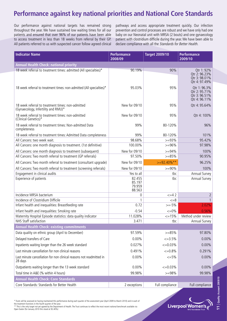## **Performance against key national priorities and National Core Standards**

Our performance against national targets has remained strong throughout the year. We have sustained low waiting times for all our patients and ensured that over 96% of our patients have been able to access treatment in less than 18 weeks from referral by their GP. All patients referred to us with suspected cancer follow agreed clinical pathways and access appropriate treatment quickly. Our infection prevention and control processes are robust and we have only had one baby on our Neonatal unit with MRSA (2 bouts) and one gynaecology patient with clostridium difficile during the year. We have been able to declare compliance with all the Standards for Better Health.

| <b>Indicator Name</b>                                                                    | <b>Performance</b><br>2008/09        | <b>Target 2009/10</b> | <b>Performance</b><br>2009/10                                   |
|------------------------------------------------------------------------------------------|--------------------------------------|-----------------------|-----------------------------------------------------------------|
| <b>Annual Health Check: national priority</b>                                            |                                      |                       |                                                                 |
| 18 week referral to treatment times: admitted (All specialties)*                         | 90.19%                               | 90%                   | Qtr 1:92%<br>Qtr 2: 96.23%<br>Qtr 3:98.01%<br>Qtr 4: 97.49%     |
| 18 week referral to treatment times: non-admitted (All specialties)*                     | 95.03%                               | 95%                   | Qtr 1: 96.3%<br>Qtr 2: 95.71%<br>Qtr 3: 96.51%<br>Qtr 4: 96.11% |
| 18 week referral to treatment times: non-admitted<br>(Gynaecology, Infertility and RMU)* | New for 09/10                        | 95%                   | Qtr 4: 95.64%                                                   |
| 18 week referral to treatment times: non-admitted<br>(Clinical Genetics)*                | New for 09/10                        | 95%                   | Qtr 4: 100%                                                     |
| 18 week referral to treatment times: Non-admitted Data<br>completeness                   | 99%                                  | 80-120%               | 96%                                                             |
| 18 week referral to treatment times: Admitted Data completeness                          | 99%                                  | 80-120%               | 101%                                                            |
| All Cancers: two week wait.                                                              | 98.68%                               | $>=93%$               | 95.42%                                                          |
| All Cancers: one month diagnosis to treatment. (1st definitive)                          | 100.00%                              | $>=96%$               | 97.98%                                                          |
| All Cancers: one month diagnosis to treatment (subsequent)                               | New for 09/10                        | $>=94%$               | 100%                                                            |
| All Cancers: Two month referral to treatment (GP referrals)                              | 97.50%                               | $>=85%$               | 90.95%                                                          |
| All Cancers: Two month referral to treatment (consultant upgrade)                        | New for 09/10                        | $>=92.40\%$ **        | 96.25%                                                          |
| All Cancers: Two month referral to treatment (screening referrals)                       | New for 09/10                        | $>=90%$               | 100%                                                            |
| Engagement in clinical audits                                                            | Yes to all                           | tbc                   | Annual Survey                                                   |
| Experience of patients                                                                   | 82.455<br>85.197<br>79.959<br>88.563 | tbc                   | Annual Survey                                                   |
| Incidence MRSA bacterium                                                                 | $\theta$                             | $\leq$ =42            | $\overline{2}$                                                  |
| Incidence of Clostridium Difficile                                                       | 1                                    | $\leq = 8$            | $\mathbf{1}$                                                    |
| Infant health and inequalities: Breastfeeding rate                                       | 0.72                                 | $>=-5%$               | 2.02%                                                           |
| Infant health and inequalities: Smoking rate                                             | $-0.54$                              | $\leq = 0\%$          | 0.56%                                                           |
| Maternity Hospital Episode statistics: data quality indicator                            | 11.028%                              | $\leq$ = 15%          | Method under review                                             |
| NHS Staff satisfaction                                                                   | 3.471                                | tbc                   | Annual Survey                                                   |
| <b>Annual Health Check: existing commitments</b>                                         |                                      |                       |                                                                 |
| Data quality on ethnic group (April to December)                                         | 97.59%                               | $>=85%$               | 97.80%                                                          |
| Delayed transfers of Care                                                                | $0.00\%$                             | $\leq 3.5\%$          | $0.00\%$                                                        |
| Inpatients waiting longer than the 26 week standard                                      | 0.027%                               | $\leq 0.03\%$         | $0.00\%$                                                        |
| Last minute cancellation for non clinical reasons                                        | 0.491%                               | $<=0.8\%$             | 0.291%                                                          |
| Last minute cancellation for non clinical reasons not readmitted in<br>28 days           | 0.00%                                | $\leq$ =5%            | 0.00%                                                           |
| Outpatients waiting longer than the 13 week standard                                     | $0.00\%$                             | $\leq 0.03\%$         | 0.00%                                                           |
| Total time in A&E (% within 4 hours)                                                     | 99.98%                               | $>=98%$               | 99.98%                                                          |
| <b>Annual Health Check: Core Standards</b>                                               |                                      |                       |                                                                 |
| Core Standards: Standards for Better Health                                              | 2 exceptions                         | Full compliance       | Full compliance                                                 |

\* Trusts will be assessed on having maintained this performance during each quarter of the assessment year (April 2009 to March 2010) and in each of

the treatment functions in the fourth quarter of the year.<br>\*\* This is the only target not yet agreed by the Department of Health. The Trust continues to reflect the most recent national benchmark available via Open Exeter (for January 2010 this stood at 92.40%)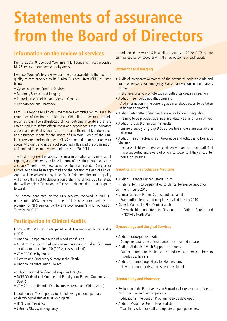# **Statements of assurance from the Board of Directors**

## **Information on the review of services**

During 2009/10 Liverpool Women's NHS Foundation Trust provided NHS Services in four core specialty areas.

Liverpool Women's has reviewed all the data available to them on the quality of care provided by its Clinical Business Units (CBU) as listed below:

- Gynaecology and Surgical Services
- Maternity Services and Imaging
- Reproductive Medicine and Medical Genetics
- Neonatology and Pharmacy.

Each CBU reports to Clinical Governance Committee which is a subcommittee of the Board of Directors. CBU clinical governance leads report at least five self-selected clinical outcome indicators that are categorised into safety, effectiveness and experience. These indicators are part of the CBU dashboard and form part of the monthly performance and assurance report for the Board of Directors. Some of the CBU indicators are benchmarked with CHKS national data or other relevant speciality organisations. Data collected has influenced the organisation as identified in its improvement initiatives for 2010/11.

The Trust recognises that access to clinical information and clinical audit capacity and function is an issue in terms of ensuring data quality and accuracy. Therefore two new posts have been approved, a Director for Clinical Audit has been appointed and the position of Head of Clinical Audit will be advertised by June 2010. This commitment to quality will enable the Trust to deliver a comprehensive clinical audit strategy that will enable efficient and effective audit and data quality going forward.

The income generated by the NHS services reviewed in 2009/10 represents 100% per cent of the total income generated by the provision of NHS services by the Liverpool Women's NHS Foundation Trust for 2009/10.

## **Participation in Clinical Audits**

In 2009/10 LWH staff participated in all five national clinical audits (100%):

- National Comparative Audit of Blood Transfusion
- Audit of the use of Red Cells in neonates and Children (20 cases required to be audited, 20 (100%) cases audited)
- CEMACE Obesity Project
- Elective and Emergency Surgery in the Elderly
- National Neonatal Audit Project

and both national confidential enquiries (100%) :

- NCEPOD (National Confidential Enquiry into Patient Outcomes and Death)
- CEMACH (Confidential Enquiry into Maternal and Child Health)

In addition the Trust reported to the following national perinatal epidemiological studies (UKOSS projects):

- H1N1v in Pregnancy
- Extreme Obesity in Pregnancy

In addition, there were 16 local clinical audits in 2009/10. These are summarised below together with the key outcome of each audit.

## **Obstetrics and Imaging**

- Audit of pregnancy outcomes of the antenatal bariatric clinic and audit of reasons for emergency Caesarean section in multiparous women
	- Take measures to promote vaginal birth after caesarean section
- Audit of Haemoglobinopathy screening
- Add information in the current guidelines about action to be taken if findings abnormal
- Audit of intermittent fetal heart rate auscultation during labour
- Training to be provided at annual mandatory training for midwives • Audit of Group B Strep positive results
	- Ensure a supply of group B Strep positive stickers are available in all areas
- Audit of Health Professionals' Knowledge and Attitudes to Domestic Violence
- Increase visibility of domestic violence team so that staff feel more supported and aware of whom to speak to if they encounter domestic violence.

## **Genetics and Reproductive Medicine**

- Audit of Genetics Cancer Referral Form
- Referral forms to be submitted to Clinical Reference Group for comment in June 2010
- Clinical Genetics Patient Correspondence audit
	- Standardised letters and templates trialled in early 2010
- Genetic Counsellor First Contact audit
- Research bid submitted to Research for Patient Benefit and INNOVATE North West.

## **Gynaecology and Surgical Services**

- Audit of Sacrospinous Fixation
- Complete data to be entered onto the national database
- Audit of Abdominal Vault Support procedures
- Patient information leaflet to be produced and consent form to include specific risks
- Audit of Thromboprophylaxis for Hysterectomy
	- New procedure for risk assessment developed.

## **Neonatology and Pharmacy**

- Evaluation of the Effectiveness on Educational Intervention on Aseptic Non Touch Technique Competence
	- Educational Intervention Programme to be developed
- Audit of Morphine Use on Neonatal Unit
	- Teaching session for staff and update on pain guidelines.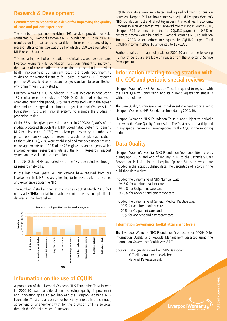## **Research & Development**

### **Commitment to research as a driver for improving the quality of care and patient experience**

The number of patients receiving NHS services provided or subcontracted by Liverpool Women's NHS Foundation Trus t in 2009/10 recruited during that period to participate in research approved by a research ethics committee was 3,281 of which 2,050 were recruited to NIHR research studies.

This increasing level of participation in clinical research demonstrates Liverpool Women's NHS Foundation Trust's commitment to improving the quality of care we offer and to making our contribution to wider health improvement. Our primary focus is through recruitment to studies on the National Institute for Health Research (NIHR) research portfolio. We also lead some research projects and aim to be an effective environment for industry studies.

Liverpool Women's NHS Foundation Trust was involved in conducting 137 clinical research studies in 2009/10. Of the studies that were completed during this period, 65% were completed within the agreed time and to the agreed recruitment target. Liverpool Women's NHS Foundation Trust used national systems to manage the studies in proportion to risk.

Of the 56 studies given permission to start in 2009/2010, 80% of the studies processed through the NIHR Coordinated System for gaining NHS Permission (NIHR CSP) were given permission by an authorised person less than 35 days from receipt of a valid complete application. Of the studies (56), 25% were established and managed under national model agreements and 100% of the 23 eligible research projects, which involved external researchers, utilised the NIHR Research Passport system and associated documentation.

In 2009/10 the NIHR supported 46 of the 137 open studies, through its research networks.

In the last three years, 28 publications have resulted from our involvement in NIHR research, helping to improve patient outcomes and experience across the NHS.

The number of studies open at the Trust as at 31st March 2010 (not necessarily NIHR) that fall into each element of the research pipeline is detailed in the chart below.



## **Information on the use of CQUIN**

A proportion of the Liverpool Women's NHS Foundation Trust income in 2009/10 was conditional on achieving quality improvement and innovation goals agreed between the Liverpool Women's NHS Foundation Trust and any person or body they entered into a contract, agreement or arrangement with for the provision of NHS services, through the CQUIN payment framework.

CQUIN indicators were negotiated and agreed following discussion between Liverpool PCT (as host commissioner) and Liverpool Women's NHS Foundation Trust and reflect key issues in the local health economy. Progress in achieving targets was reviewed monthly and in March 2010, Liverpool PCT confirmed that the full CQUINS payment of 0.5% of contract income would be paid to Liverpool Women's NHS Foundation Trust in 2009/10 for performance against its CQUINS targets. Total CQUINS income in 2009/10 amounted to £376,365.

Further details of the agreed goals for 2009/10 and for the following 12 month period are available on request from the Director of Service Development.

## **Information relating to registration with the CQC and periodic special reviews**

Liverpool Women's NHS Foundation Trust is required to register with the Care Quality Commission and its current registration status is without conditions.

The Care Quality Commission has not taken enforcement action against Liverpool Women's NHS Foundation Trust during 2009/10.

Liverpool Women's NHS Foundation Trust is not subject to periodic review by the Care Quality Commission. The Trust has not participated in any special reviews or investigations by the CQC in the reporting period.

## **Data Quality**

Liverpool Women's Hospital NHS Foundation Trust submitted records during April 2009 and end of January 2010 to the Secondary Uses Service for inclusion in the Hospital Episode Statistics which are included in the latest published data. The percentage of records in the published data which:

Included the patient's valid NHS Number was:

- 94.6% for admitted patient care
- 95.2% for Outpatient care; and

96.5% for accident and emergency care.

Included the patient's valid General Medical Practice was:

- 100% for admitted patient care
- 100% for Outpatient care; and

100% for accident and emergency care.

### **Information Governance Toolkit attainment levels**

The Liverpool Women's NHS Foundation Trust score for 2009/10 for Information Quality and Records Management assessed using the Information Governance Toolkit was 85.7.

#### **Source:** Data Quality scores from SUS Dashboard IG Toolkit attainment levels from National IG Assessment.

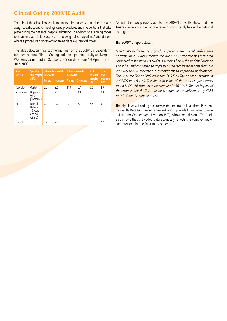## **Clinical Coding 2009/10 Audit**

The role of the clinical coders is to analyse the patients' clinical record and assign specific codes for the diagnoses, procedures and interventions that take place during the patients' hospital admission. In addition to assigning codes to inpatients' admissions codes are also assigned to outpatients' attendances where a procedure or intervention takes place e.g. cervical smear.

The table below summarises the findings from the 2009/10 independent, targeted external Clinical Coding audit on inpatient activity at Liverpool Women's carried out in October 2009 on data from 1st April to 30th June 2009.

| Area<br>audited | Specialty/<br>Sub-chapter<br>/ HRG                    | % Procedures coded<br>incorrectly |           | % Diagnoses coded<br>incorrectly |                  | $%$ of<br>episodes     | $%$ of<br>spells       |
|-----------------|-------------------------------------------------------|-----------------------------------|-----------|----------------------------------|------------------|------------------------|------------------------|
|                 |                                                       | Primary                           | Secondary | Primary                          | <b>Secondary</b> | changing<br><b>HRG</b> | changing<br><b>HRG</b> |
| Specialty       | Obstetrics                                            | 2.2                               | 3.0       | 11.0                             | 9.4              | 9.0                    | 9.0                    |
| Sub-chapter     | Digestive<br>system<br>procedures                     | 0.0                               | 2.9       | 8.6                              | 4.1              | 0.0                    | 0.0                    |
| <b>HRG</b>      | Normal<br>Delivery<br>19 years<br>and over<br>with CC | 0.0                               | 0.0       | 0.0                              | 5.2              | 6.7                    | 6.7                    |
| Overall         |                                                       | 0.7                               | 2.2       | 8.5                              | 6.3              | 5.5                    | 5.5                    |

As with the two previous audits, the 2009/10 results show that the Trust's clinical coding error rate remains consistently below the national average.

#### The 2009/10 report states:

'The Trust's performance is good compared to the overall performance of trusts. In 2008/09 although the Trust HRG error rate has increased compared to the previous audits, it remains below the national average and it has and continued to implement the recommendations from our 2008/09 review, indicating a commitment to improving performance. This year the Trust's HRG error rate is 5.5 %. The national average in 2008/09 was 8.1 %. The financial value of the total or gross errors found is £5,066 from an audit sample of £361,045. The net impact of the errors is that the Trust has overcharged its commissioners by £764 or 0.2 % on the sample tested.'

The high levels of coding accuracy as demonstrated in all three Payment by Results Data Assurance Framework audits provide financial assurance to Liverpool Women's and Liverpool PCT, its host commissioner. The audit also shows that the coded data accurately reflects the complexities of care provided by the Trust to its patients.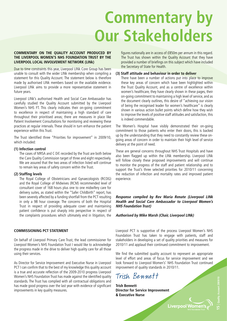# **Commentary by Our Stakeholders**

### **COMMENTARY ON THE QUALITY ACCOUNT PRODUCED BY THE LIVERPOOL WOMEN'S NHS FOUNDATION TRUST BY THE LIVERPOOL LOCAL INVOLVEMENT NETWORK (LINk)**

Due to time constraints this year, Liverpool LINk Core Group has been unable to consult with the wider LINk membership when compiling a statement for this Quality Account. The statement below is therefore made by authorised LINk members based on the available evidence. Liverpool LINk aims to provide a more representative statement in future years.

Liverpool LINk's authorised Health and Social Care Ambassador has carefully studied the Quality Account submitted by the Liverpool Women's NHS FT. This clearly indicates their on-going commitment to excellence in respect of maintaining a high standard of care throughout their prioritised areas; there are measures in place like Patient Involvement Consultations for monitoring and reviewing these practices at regular intervals. These should in turn enhance the patient experience within this Trust.

The Trust identified three "Priorities for improvement" in 2009/10, which included:

### **(1) Infection control**

The cases of MRSA and C Dif. recorded by the Trust are both below the Care Quality Commission target of three and eight respectively. We are assured that the two areas of infection listed will continue to remain key areas of safety concern within the Trust.

## **(2) Staffing levels**

The Royal College of Obstetricians and Gynaecologists (RCOG) and the Royal College of Midwives (RCM) recommended level of consultant cover of 168 hours plus one to one midwifery care for delivery suites, as stated within the "Safer Childbirth" report, has been severely affected by a funding shortfall from the PCT resulting in only a 98 hour coverage. The concerns of both the Hospital Trust in respect of providing adequate cover and maintaining patient confidence is put sharply into perspective in respect of the complaints procedures which ultimately end in litigation, the

## **COMMISSIONING PCT STATEMENT**

On behalf of Liverpool Primary Care Trust, the lead commissioner for Liverpool Women's NHS Foundation Trust I would like to acknowledge the progress made in the drive to deliver high quality care for all those using their services.

As Director for Service Improvement and Executive Nurse in Liverpool PCT I can confirm that to the best of my knowledge this quality account is a true and accurate reflection of the 2009-2010 progress Liverpool Women's NHS Foundation Trust has made against the identified quality standards. The Trust has complied with all contractual obligations and has made good progress over the last year with evidence of significant improvements in key quality measures.

figures nationally are in access of £850m per annum in this regard. The Trust has shown within the Quality Account that they have provided a number of briefings on this subject which have included the Secretary of State for Health.

### **(3) Staff attitude and behaviour in order to deliver**

There have been a number of actions put into place to improve these key areas of concern which have been highlighted within the Trust Quality Account, and as a centre of excellence within women's healthcare, they have clearly shown in these pages, their on-going commitment to maintaining a high level of service, and as the document clearly outlines, this desire of "achieving our vision of being the recognised leader for women's healthcare" is clearly shown in various action bullet points which define how they wish to improve the levels of positive staff attitudes and satisfaction, this is indeed commendable.

The Women's Hospital have visibly demonstrated their on-going commitment to those patients who enter their doors, this is backed up by the understanding that they need to constantly review these ongoing areas of concern in order to maintain their high level of service delivery at the point of need.

These are general concerns throughout NHS Trust Hospitals and have also been flagged up within the LINk membership. Liverpool LINk will follow closely these proposed improvements and will continue to monitor the progress of the staff and patient relationship and to support the Trust's three selected priorities for 2010/11 concerning the reduction of infection and mortality rates and improved patient experience.

### **Response compiled by Rev Maria Renate (Liverpool LINk Health and Social Care Ambassador to Liverpool Women's NHS Foundation Trust)**

## **Authorised by Mike Marsh (Chair, Liverpool LINk)**

Liverpool PCT is supportive of the process Liverpool Women's NHS Foundation Trust has taken to engage with patients, staff and stakeholders in developing a set of quality priorities and measures for 2010/11 and applaud their continued commitment to improvement.

We find the submitted quality account to represent an appropriate level of effort and areas of focus for service improvement and we look forward to Liverpool Women's' NHS Foundation Trust continued improvement of quality standards in 2010/11.

Trish Bennett

**Trish Bennett Director for Service Improvement & Executive Nurse**

**Liverpool Women**